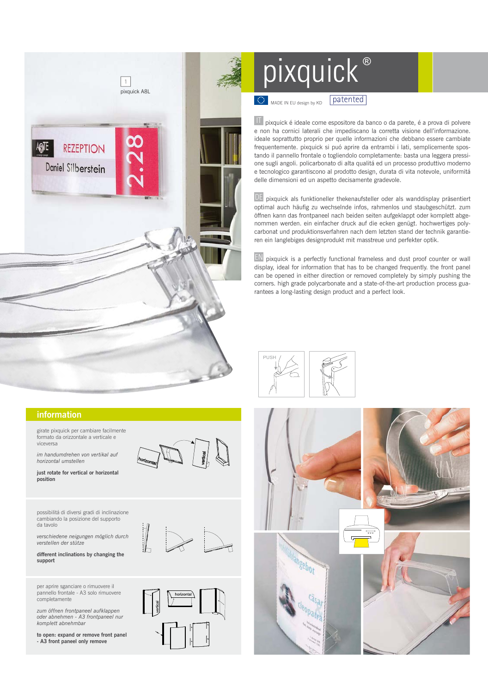

## **information**

 girate pixquick per cambiare facilmente formato da orizzontale a verticale e viceversa

 *im handumdrehen von vertikal auf horizontal umstellen* 

 **just rotate for vertical or horizontal position** 

 possibilitá di diversi gradi di inclinazione cambiando la posizione del supporto da tavolo

verschiedene heigung<br>verstellen der stütze  *verschiedene neigungen möglich durch* 

 **different inclinations by changing the support** 

per aprire sganciare o rimuovere il pannello frontale - A3 solo rimuovere completamente

 *zum öffnen frontpaneel aufklappen oder abnehmen - A3 frontpaneel nur komplett abnehmbar*

 **to open: expand or remove front panel - A3 front paneel only remove**